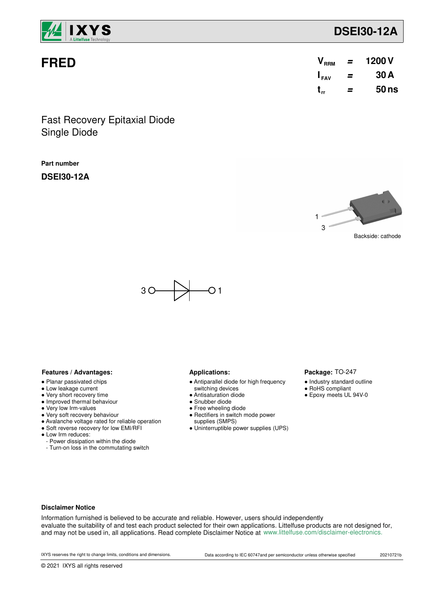

# **FRED**

| V <sub>RRM</sub> | = | 1200 V |
|------------------|---|--------|
| $I_{\text{FAV}}$ | = | 30 A   |
| $t_{rr}$         | = | 50ns   |

Single Diode Fast Recovery Epitaxial Diode

## **Part number**

**DSEI30-12A**



Package: TO-247 ● Industry standard outline ● RoHS compliant ● Epoxy meets UL 94V-0



### Features / Advantages: **All Audiences Applications: Applications:**

- Planar passivated chips
- Low leakage current
- Very short recovery time
- Improved thermal behaviour
- Very low Irm-values
- Very soft recovery behaviour
- Avalanche voltage rated for reliable operation
- Soft reverse recovery for low EMI/RFI
- Low Irm reduces:
	- Power dissipation within the diode
- Turn-on loss in the commutating switch

- Antiparallel diode for high frequency
- switching devices
- Antisaturation diode
- Snubber diode
- Free wheeling diode ● Rectifiers in switch mode power
- supplies (SMPS)
- Uninterruptible power supplies (UPS)

### **Disclaimer Notice**

Information furnished is believed to be accurate and reliable. However, users should independently evaluate the suitability of and test each product selected for their own applications. Littelfuse products are not designed for, and may not be used in, all applications. Read complete Disclaimer Notice at www.littelfuse.com/disclaimer-electronics.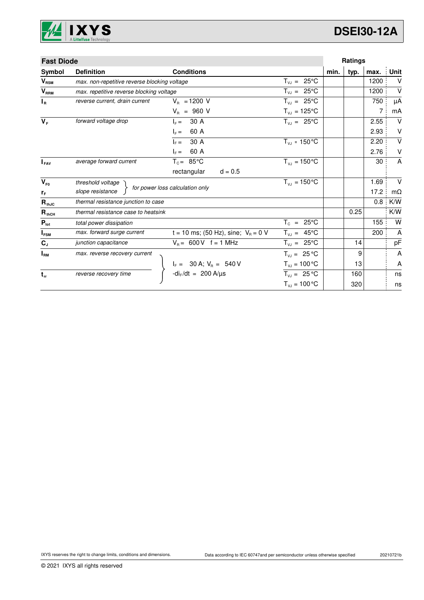

| <b>Fast Diode</b>          |                                              |                                                              |                              |      | Ratings |      |           |
|----------------------------|----------------------------------------------|--------------------------------------------------------------|------------------------------|------|---------|------|-----------|
| Symbol                     | <b>Definition</b>                            | <b>Conditions</b>                                            |                              | min. | typ.    | max. | Unit      |
| $V_{\text{RSM}}$           | max. non-repetitive reverse blocking voltage |                                                              | $T_{V,I} = 25^{\circ}C$      |      |         | 1200 | V         |
| $V_{RRM}$                  | max. repetitive reverse blocking voltage     |                                                              | $T_{VJ} = 25^{\circ}C$       |      |         | 1200 | $\vee$    |
| $I_R$                      | reverse current, drain current               | $V_{B} = 1200 V$                                             | $T_{VJ} = 25^{\circ}C$       |      |         | 750  | μA        |
|                            |                                              | $V_{B}$ = 960 V                                              | $T_{\nu J} = 125$ °C         |      |         | 7    | mA        |
| $V_F$                      | forward voltage drop                         | 30 A<br>$IE =$                                               | $T_{VJ} = 25^{\circ}C$       |      |         | 2.55 | $\vee$    |
|                            |                                              | 60 A<br>$I_F =$                                              |                              |      |         | 2.93 | V         |
|                            |                                              | 30 A<br>$\vert_{\rm F} =$                                    | $T_{VJ}$ = 150 °C            |      |         | 2.20 | $\vee$    |
|                            |                                              | 60 A<br>$\vert_{E} =$                                        |                              |      |         | 2.76 | V         |
| $I_{FAV}$                  | average forward current                      | $T_c = 85^{\circ}$ C                                         | $T_{V1} = 150^{\circ}C$      |      |         | 30   | A         |
|                            |                                              | rectangular<br>$d = 0.5$                                     |                              |      |         |      |           |
| $V_{F0}$                   | threshold voltage                            |                                                              | $T_{\rm{VJ}} = 150^{\circ}C$ |      |         | 1.69 | $\vee$    |
| $r_F$                      | slope resistance                             | for power loss calculation only                              |                              |      |         | 17.2 | $m\Omega$ |
| $\mathbf{R}_{\text{thJC}}$ | thermal resistance junction to case          |                                                              |                              |      |         | 0.8  | K/W       |
| $R_{thCH}$                 | thermal resistance case to heatsink          |                                                              |                              |      | 0.25    |      | K/W       |
| $P_{\text{tot}}$           | total power dissipation                      |                                                              | $T_c = 25^{\circ}$ C         |      |         | 155  | W         |
| $I_{FSM}$                  | max. forward surge current                   | t = 10 ms; (50 Hz), sine; $V_B = 0$ V                        | $T_{VJ} = 45^{\circ}C$       |      |         | 200  | A         |
| $\mathbf{C}_\mathsf{J}$    | junction capacitance                         | $V_B = 600 V$ f = 1 MHz                                      | $T_{VJ} = 25^{\circ}C$       |      | 14      |      | pF        |
| $I_{\rm RM}$               | max. reverse recovery current                |                                                              | $T_{VJ} = 25 °C$             |      | 9       |      | A         |
|                            |                                              |                                                              | $T_{VJ} = 100 °C$            |      | 13      |      | Α         |
| $t_{rr}$                   | reverse recovery time                        | $I_F = 30 A; V_R = 540 V$<br>-di <sub>F</sub> /dt = 200 A/µs | $T_{VJ} = 25 °C$             |      | 160     |      | ns        |
|                            |                                              |                                                              | $T_{VJ} = 100 °C$            |      | 320     |      | ns        |
|                            |                                              |                                                              |                              |      |         |      |           |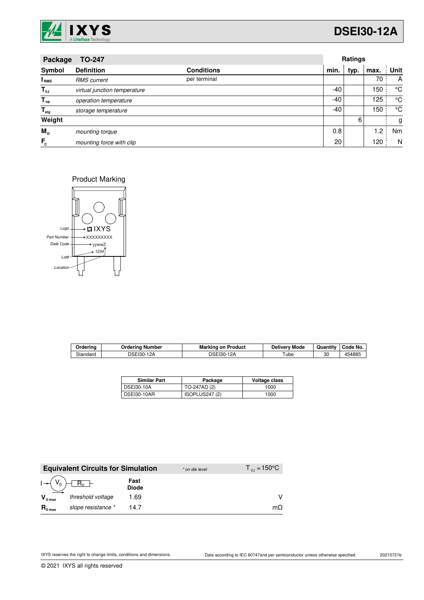

# **DSEI30-12A**

| <b>TO-247</b><br>Package  |                              |                   |       | Ratings |      |      |  |
|---------------------------|------------------------------|-------------------|-------|---------|------|------|--|
| Symbol                    | <b>Definition</b>            | <b>Conditions</b> | min.  | typ.    | max. | Unit |  |
| I <sub>RMS</sub>          | <b>RMS</b> current           | per terminal      |       |         | 70   | A    |  |
| $T_{\nu J}$               | virtual junction temperature |                   | -40   |         | 150  | °C   |  |
| $T_{op}$                  | operation temperature        |                   | $-40$ |         | 125  | °C   |  |
| $\mathsf{T}_{\text{stg}}$ | storage temperature          |                   | -40   |         | 150  | °C   |  |
| Weight                    |                              |                   |       | 6       |      | g    |  |
| M <sub>D</sub>            | mounting torque              |                   | 0.8   |         | 1.2  | Nm   |  |
| $F_c$                     | mounting force with clip     |                   | 20    |         | 120  | N    |  |

Product Marking



| Orderina | Orderina<br>∣ Number | Marking<br>on Product | Mode<br>Deliverv | Quantity | Code No. |
|----------|----------------------|-----------------------|------------------|----------|----------|
| Standard | DSEI30-1<br>12A      | 12A<br>DSEI30-1       | - '<br>ube       | 30       | 454885   |

| <b>Similar Part</b> | Package        | Voltage class |
|---------------------|----------------|---------------|
| <b>DSEI30-10A</b>   | TO-247AD (2)   | 1000          |
| <b>DSEI30-10AR</b>  | ISOPLUS247 (2) | 1000          |

|                     | <b>Equivalent Circuits for Simulation</b> |                      | * on die level | $T_{\rm{v1}} = 150^{\circ}$ C |
|---------------------|-------------------------------------------|----------------------|----------------|-------------------------------|
|                     | $R_0$ –                                   | Fast<br><b>Diode</b> |                |                               |
| $V_{0 \text{ max}}$ | threshold voltage                         | 1.69                 |                |                               |
| $R_{0 \text{ max}}$ | slope resistance *                        | 14 7                 |                | $m\Omega$                     |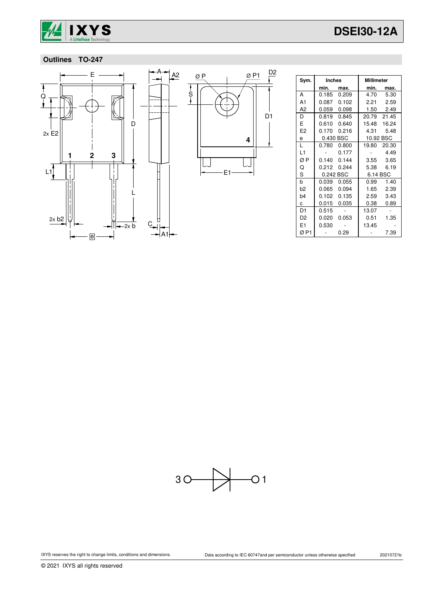

# **Outlines TO-247**



| Sym.           | <b>Inches</b> |             | Millimeter  |           |
|----------------|---------------|-------------|-------------|-----------|
|                | min.          | max.        | min.        | max.      |
| A              |               | 0.185 0.209 | 4.70        | 5.30      |
| A <sub>1</sub> |               | 0.087 0.102 | 2.21        | 2.59      |
| A2             |               | 0.059 0.098 |             | 1.50 2.49 |
| D              | 0.819         | 0.845       | 20.79 21.45 |           |
| E              | 0.610         | 0.640       | 15.48 16.24 |           |
| E <sub>2</sub> | 0.170         | 0.216       | 4.31        | 5.48      |
| e              | 0.430 BSC     |             | 10.92 BSC   |           |
| L              | 0.780         | 0.800       | 19.80       | 20.30     |
| L <sub>1</sub> |               | 0.177       |             | 4.49      |
| ØΡ             | 0.140         | 0.144       | 3.55        | 3.65      |
| Q              | 0.212         | 0.244       | 5.38        | 6.19      |
| S              | 0.242 BSC     |             | 6.14 BSC    |           |
| b              | 0.039         | 0.055       | 0.99        | 1.40      |
| b <sub>2</sub> | 0.065         | 0.094       | 1.65        | 2.39      |
| b <sub>4</sub> | 0.102         | 0.135       | 2.59        | 3.43      |
| C.             | 0.015         | 0.035       | 0.38        | 0.89      |
| D1             | 0.515         |             | 13.07       |           |
| D <sub>2</sub> | 0.020         | 0.053       | 0.51        | 1.35      |
| E1             | 0.530         |             | 13.45       |           |
| ØP1            |               | 0.29        |             | 7.39      |



© 2021 IXYS all rights reserved